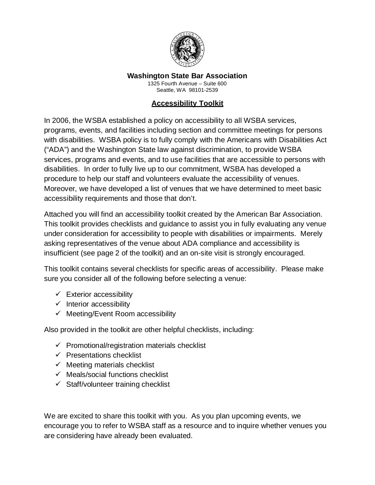

**Washington State Bar Association**

1325 Fourth Avenue – Suite 600 Seattle, WA 98101-2539

### **Accessibility Toolkit**

In 2006, the WSBA established a policy on accessibility to all WSBA services, programs, events, and facilities including section and committee meetings for persons with disabilities. WSBA policy is to fully comply with the Americans with Disabilities Act ("ADA") and the Washington State law against discrimination, to provide WSBA services, programs and events, and to use facilities that are accessible to persons with disabilities. In order to fully live up to our commitment, WSBA has developed a procedure to help our staff and volunteers evaluate the accessibility of venues. Moreover, we have developed a list of venues that we have determined to meet basic accessibility requirements and those that don't.

Attached you will find an accessibility toolkit created by the American Bar Association. This toolkit provides checklists and guidance to assist you in fully evaluating any venue under consideration for accessibility to people with disabilities or impairments. Merely asking representatives of the venue about ADA compliance and accessibility is insufficient (see page 2 of the toolkit) and an on-site visit is strongly encouraged.

This toolkit contains several checklists for specific areas of accessibility. Please make sure you consider all of the following before selecting a venue:

- $\checkmark$  Exterior accessibility
- $\checkmark$  Interior accessibility
- $\checkmark$  Meeting/Event Room accessibility

Also provided in the toolkit are other helpful checklists, including:

- $\checkmark$  Promotional/registration materials checklist
- $\checkmark$  Presentations checklist
- $\checkmark$  Meeting materials checklist
- $\checkmark$  Meals/social functions checklist
- $\checkmark$  Staff/volunteer training checklist

We are excited to share this toolkit with you. As you plan upcoming events, we encourage you to refer to WSBA staff as a resource and to inquire whether venues you are considering have already been evaluated.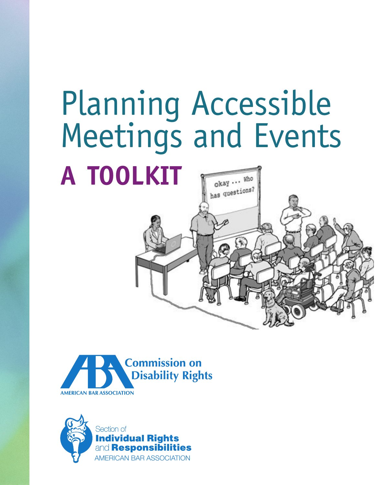# Planning Accessible Meetings and Events **A TOOLKIT**  $okay \cdots$  Who

has questions?



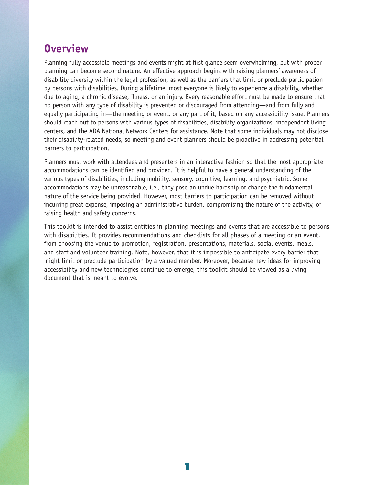### **Overview**

Planning fully accessible meetings and events might at first glance seem overwhelming, but with proper planning can become second nature. An effective approach begins with raising planners' awareness of disability diversity within the legal profession, as well as the barriers that limit or preclude participation by persons with disabilities. During a lifetime, most everyone is likely to experience a disability, whether due to aging, a chronic disease, illness, or an injury. Every reasonable effort must be made to ensure that no person with any type of disability is prevented or discouraged from attending—and from fully and equally participating in—the meeting or event, or any part of it, based on any accessibility issue. Planners should reach out to persons with various types of disabilities, disability organizations, independent living centers, and the ADA National Network Centers for assistance. Note that some individuals may not disclose their disability-related needs, so meeting and event planners should be proactive in addressing potential barriers to participation.

Planners must work with attendees and presenters in an interactive fashion so that the most appropriate accommodations can be identified and provided. It is helpful to have a general understanding of the various types of disabilities, including mobility, sensory, cognitive, learning, and psychiatric. Some accommodations may be unreasonable, i.e., they pose an undue hardship or change the fundamental nature of the service being provided. However, most barriers to participation can be removed without incurring great expense, imposing an administrative burden, compromising the nature of the activity, or raising health and safety concerns.

This toolkit is intended to assist entities in planning meetings and events that are accessible to persons with disabilities. It provides recommendations and checklists for all phases of a meeting or an event, from choosing the venue to promotion, registration, presentations, materials, social events, meals, and staff and volunteer training. Note, however, that it is impossible to anticipate every barrier that might limit or preclude participation by a valued member. Moreover, because new ideas for improving accessibility and new technologies continue to emerge, this toolkit should be viewed as a living document that is meant to evolve.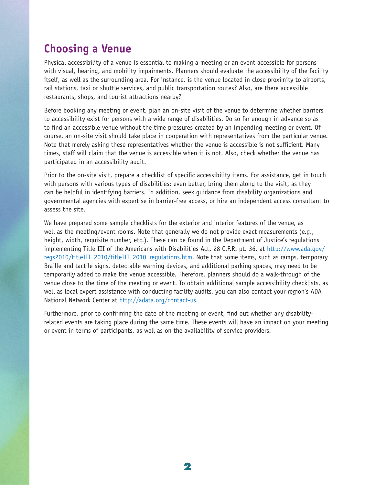# **Choosing a Venue**

Physical accessibility of a venue is essential to making a meeting or an event accessible for persons with visual, hearing, and mobility impairments. Planners should evaluate the accessibility of the facility itself, as well as the surrounding area. For instance, is the venue located in close proximity to airports, rail stations, taxi or shuttle services, and public transportation routes? Also, are there accessible restaurants, shops, and tourist attractions nearby?

Before booking any meeting or event, plan an on-site visit of the venue to determine whether barriers to accessibility exist for persons with a wide range of disabilities. Do so far enough in advance so as to find an accessible venue without the time pressures created by an impending meeting or event. Of course, an on-site visit should take place in cooperation with representatives from the particular venue. Note that merely asking these representatives whether the venue is accessible is not sufficient. Many times, staff will claim that the venue is accessible when it is not. Also, check whether the venue has participated in an accessibility audit.

Prior to the on-site visit, prepare a checklist of specific accessibility items. For assistance, get in touch with persons with various types of disabilities; even better, bring them along to the visit, as they can be helpful in identifying barriers. In addition, seek guidance from disability organizations and governmental agencies with expertise in barrier-free access, or hire an independent access consultant to assess the site.

We have prepared some sample checklists for the exterior and interior features of the venue, as well as the meeting/event rooms. Note that generally we do not provide exact measurements (e.g., height, width, requisite number, etc.). These can be found in the Department of Justice's regulations implementing Title III of the Americans with Disabilities Act, 28 C.F.R. pt. 36, at http://www.ada.gov/ regs2010/titleIII\_2010/titleIII\_2010\_regulations.htm. Note that some items, such as ramps, temporary Braille and tactile signs, detectable warning devices, and additional parking spaces, may need to be temporarily added to make the venue accessible. Therefore, planners should do a walk-through of the venue close to the time of the meeting or event. To obtain additional sample accessibility checklists, as well as local expert assistance with conducting facility audits, you can also contact your region's ADA National Network Center at http://adata.org/contact-us.

Furthermore, prior to confirming the date of the meeting or event, find out whether any disabilityrelated events are taking place during the same time. These events will have an impact on your meeting or event in terms of participants, as well as on the availability of service providers.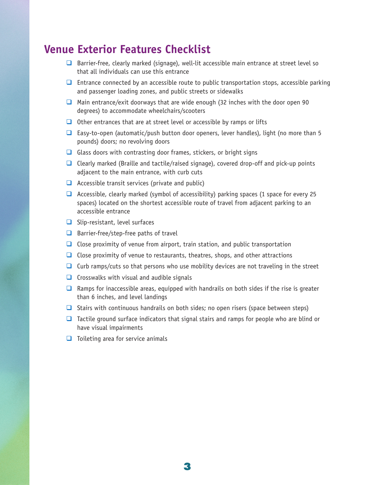### **Venue Exterior Features Checklist**

- Barrier-free, clearly marked (signage), well-lit accessible main entrance at street level so that all individuals can use this entrance
- $\Box$  Entrance connected by an accessible route to public transportation stops, accessible parking and passenger loading zones, and public streets or sidewalks
- **D** Main entrance/exit doorways that are wide enough (32 inches with the door open 90 degrees) to accommodate wheelchairs/scooters
- $\Box$  Other entrances that are at street level or accessible by ramps or lifts
- □ Easy-to-open (automatic/push button door openers, lever handles), light (no more than 5 pounds) doors; no revolving doors
- $\Box$  Glass doors with contrasting door frames, stickers, or bright signs
- $\Box$  Clearly marked (Braille and tactile/raised signage), covered drop-off and pick-up points adjacent to the main entrance, with curb cuts
- $\Box$  Accessible transit services (private and public)
- $\Box$  Accessible, clearly marked (symbol of accessibility) parking spaces (1 space for every 25 spaces) located on the shortest accessible route of travel from adjacent parking to an accessible entrance
- $\Box$  Slip-resistant, level surfaces
- $\Box$  Barrier-free/step-free paths of travel
- $\Box$  Close proximity of venue from airport, train station, and public transportation
- $\Box$  Close proximity of venue to restaurants, theatres, shops, and other attractions
- $\Box$  Curb ramps/cuts so that persons who use mobility devices are not traveling in the street
- $\Box$  Crosswalks with visual and audible signals
- $\Box$  Ramps for inaccessible areas, equipped with handrails on both sides if the rise is greater than 6 inches, and level landings
- $\Box$  Stairs with continuous handrails on both sides; no open risers (space between steps)
- $\Box$  Tactile ground surface indicators that signal stairs and ramps for people who are blind or have visual impairments
- $\Box$  Toileting area for service animals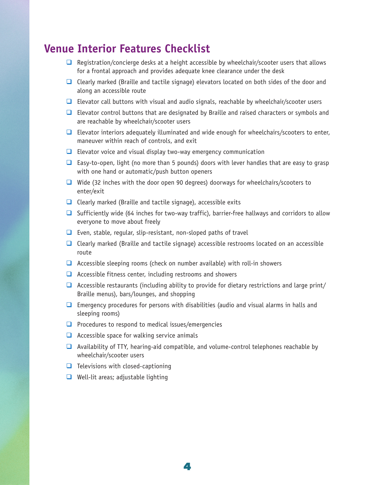### **Venue Interior Features Checklist**

- $\Box$  Registration/concierge desks at a height accessible by wheelchair/scooter users that allows for a frontal approach and provides adequate knee clearance under the desk
- Clearly marked (Braille and tactile signage) elevators located on both sides of the door and along an accessible route
- $\Box$  Elevator call buttons with visual and audio signals, reachable by wheelchair/scooter users
- $\Box$  Elevator control buttons that are designated by Braille and raised characters or symbols and are reachable by wheelchair/scooter users
- $\Box$  Elevator interiors adequately illuminated and wide enough for wheelchairs/scooters to enter, maneuver within reach of controls, and exit
- $\Box$  Elevator voice and visual display two-way emergency communication
- **Easy-to-open, light (no more than 5 pounds) doors with lever handles that are easy to grasp** with one hand or automatic/push button openers
- $\Box$  Wide (32 inches with the door open 90 degrees) doorways for wheelchairs/scooters to enter/exit
- $\Box$  Clearly marked (Braille and tactile signage), accessible exits
- $\Box$  Sufficiently wide (64 inches for two-way traffic), barrier-free hallways and corridors to allow everyone to move about freely
- $\Box$  Even, stable, regular, slip-resistant, non-sloped paths of travel
- Clearly marked (Braille and tactile signage) accessible restrooms located on an accessible route
- $\Box$  Accessible sleeping rooms (check on number available) with roll-in showers
- $\Box$  Accessible fitness center, including restrooms and showers
- $\Box$  Accessible restaurants (including ability to provide for dietary restrictions and large print/ Braille menus), bars/lounges, and shopping
- $\Box$  Emergency procedures for persons with disabilities (audio and visual alarms in halls and sleeping rooms)
- $\Box$  Procedures to respond to medical issues/emergencies
- $\Box$  Accessible space for walking service animals
- $\Box$  Availability of TTY, hearing-aid compatible, and volume-control telephones reachable by wheelchair/scooter users

**4**

- $\Box$  Televisions with closed-captioning
- $\Box$  Well-lit areas; adjustable lighting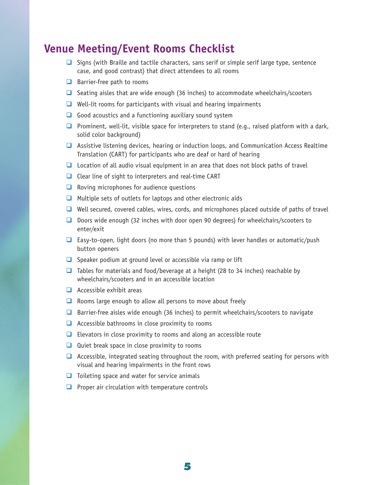### **Venue Meeting/Event Rooms Checklist**

- $\Box$  Signs (with Braille and tactile characters, sans serif or simple serif large type, sentence case, and good contrast) that direct attendees to all rooms
- $\Box$  Barrier-free path to rooms
- $\Box$  Seating aisles that are wide enough (36 inches) to accommodate wheelchairs/scooters
- $\Box$  Well-lit rooms for participants with visual and hearing impairments
- $\Box$  Good acoustics and a functioning auxiliary sound system
- **Prominent, well-lit, visible space for interpreters to stand (e.g., raised platform with a dark,** solid color background)
- Assistive listening devices, hearing or induction loops, and Communication Access Realtime Translation (CART) for participants who are deaf or hard of hearing
- $\Box$  Location of all audio visual equipment in an area that does not block paths of travel
- $\Box$  Clear line of sight to interpreters and real-time CART
- $\Box$  Roving microphones for audience questions
- $\Box$  Multiple sets of outlets for laptops and other electronic aids
- $\Box$  Well secured, covered cables, wires, cords, and microphones placed outside of paths of travel
- □ Doors wide enough (32 inches with door open 90 degrees) for wheelchairs/scooters to enter/exit
- **Easy-to-open, light doors (no more than 5 pounds)** with lever handles or automatic/push button openers
- $\Box$  Speaker podium at ground level or accessible via ramp or lift
- $\Box$  Tables for materials and food/beverage at a height (28 to 34 inches) reachable by wheelchairs/scooters and in an accessible location
- $\Box$  Accessible exhibit areas
- $\Box$  Rooms large enough to allow all persons to move about freely
- $\Box$  Barrier-free aisles wide enough (36 inches) to permit wheelchairs/scooters to navigate
- $\Box$  Accessible bathrooms in close proximity to rooms
- $\Box$  Elevators in close proximity to rooms and along an accessible route
- $\Box$  Quiet break space in close proximity to rooms
- $\Box$  Accessible, integrated seating throughout the room, with preferred seating for persons with visual and hearing impairments in the front rows
- $\Box$  Toileting space and water for service animals
- $\Box$  Proper air circulation with temperature controls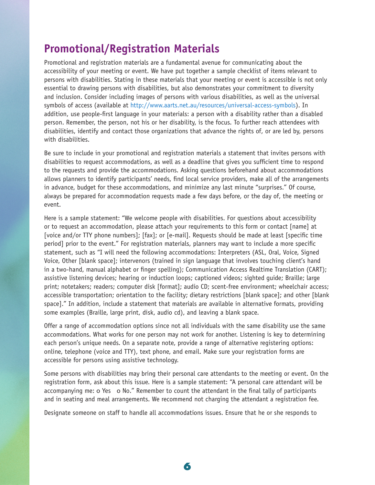### **Promotional/Registration Materials**

Promotional and registration materials are a fundamental avenue for communicating about the accessibility of your meeting or event. We have put together a sample checklist of items relevant to persons with disabilities. Stating in these materials that your meeting or event is accessible is not only essential to drawing persons with disabilities, but also demonstrates your commitment to diversity and inclusion. Consider including images of persons with various disabilities, as well as the universal symbols of access (available at http://www.aarts.net.au/resources/universal-access-symbols). In addition, use people-first language in your materials: a person with a disability rather than a disabled person. Remember, the person, not his or her disability, is the focus. To further reach attendees with disabilities, identify and contact those organizations that advance the rights of, or are led by, persons with disabilities.

Be sure to include in your promotional and registration materials a statement that invites persons with disabilities to request accommodations, as well as a deadline that gives you sufficient time to respond to the requests and provide the accommodations. Asking questions beforehand about accommodations allows planners to identify participants' needs, find local service providers, make all of the arrangements in advance, budget for these accommodations, and minimize any last minute "surprises." Of course, always be prepared for accommodation requests made a few days before, or the day of, the meeting or event.

Here is a sample statement: "We welcome people with disabilities. For questions about accessibility or to request an accommodation, please attach your requirements to this form or contact [name] at [voice and/or TTY phone numbers]; [fax]; or [e-mail]. Requests should be made at least [specific time period] prior to the event." For registration materials, planners may want to include a more specific statement, such as "I will need the following accommodations: Interpreters (ASL, Oral, Voice, Signed Voice, Other [blank space]; intervenors (trained in sign language that involves touching client's hand in a two-hand, manual alphabet or finger spelling); Communication Access Realtime Translation (CART); assistive listening devices; hearing or induction loops; captioned videos; sighted guide; Braille; large print; notetakers; readers; computer disk [format]; audio CD; scent-free environment; wheelchair access; accessible transportation; orientation to the facility; dietary restrictions [blank space]; and other [blank space]." In addition, include a statement that materials are available in alternative formats, providing some examples (Braille, large print, disk, audio cd), and leaving a blank space.

Offer a range of accommodation options since not all individuals with the same disability use the same accommodations. What works for one person may not work for another. Listening is key to determining each person's unique needs. On a separate note, provide a range of alternative registering options: online, telephone (voice and TTY), text phone, and email. Make sure your registration forms are accessible for persons using assistive technology.

Some persons with disabilities may bring their personal care attendants to the meeting or event. On the registration form, ask about this issue. Here is a sample statement: "A personal care attendant will be accompanying me: o Yes o No." Remember to count the attendant in the final tally of participants and in seating and meal arrangements. We recommend not charging the attendant a registration fee.

**6**

Designate someone on staff to handle all accommodations issues. Ensure that he or she responds to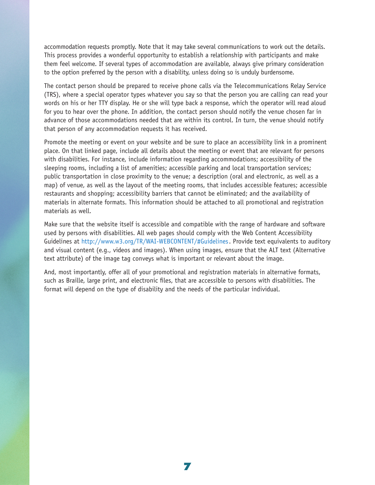accommodation requests promptly. Note that it may take several communications to work out the details. This process provides a wonderful opportunity to establish a relationship with participants and make them feel welcome. If several types of accommodation are available, always give primary consideration to the option preferred by the person with a disability, unless doing so is unduly burdensome.

The contact person should be prepared to receive phone calls via the Telecommunications Relay Service (TRS), where a special operator types whatever you say so that the person you are calling can read your words on his or her TTY display. He or she will type back a response, which the operator will read aloud for you to hear over the phone. In addition, the contact person should notify the venue chosen far in advance of those accommodations needed that are within its control. In turn, the venue should notify that person of any accommodation requests it has received.

Promote the meeting or event on your website and be sure to place an accessibility link in a prominent place. On that linked page, include all details about the meeting or event that are relevant for persons with disabilities. For instance, include information regarding accommodations; accessibility of the sleeping rooms, including a list of amenities; accessible parking and local transportation services; public transportation in close proximity to the venue; a description (oral and electronic, as well as a map) of venue, as well as the layout of the meeting rooms, that includes accessible features; accessible restaurants and shopping; accessibility barriers that cannot be eliminated; and the availability of materials in alternate formats. This information should be attached to all promotional and registration materials as well.

Make sure that the website itself is accessible and compatible with the range of hardware and software used by persons with disabilities. All web pages should comply with the Web Content Accessibility Guidelines at http://www.w3.org/TR/WAI-WEBCONTENT/#Guidelines. Provide text equivalents to auditory and visual content (e.g., videos and images). When using images, ensure that the ALT text (Alternative text attribute) of the image tag conveys what is important or relevant about the image.

And, most importantly, offer all of your promotional and registration materials in alternative formats, such as Braille, large print, and electronic files, that are accessible to persons with disabilities. The format will depend on the type of disability and the needs of the particular individual.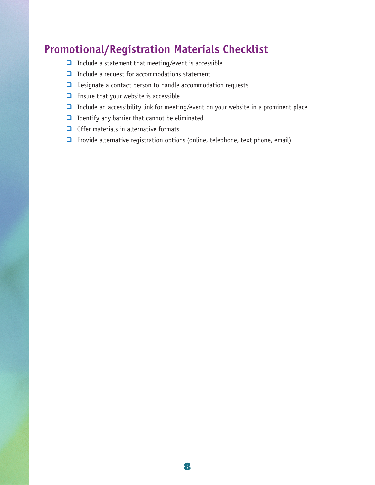# **Promotional/Registration Materials Checklist**

- $\Box$  Include a statement that meeting/event is accessible
- $\Box$  Include a request for accommodations statement
- $\Box$  Designate a contact person to handle accommodation requests
- $\Box$  Ensure that your website is accessible
- $\Box$  Include an accessibility link for meeting/event on your website in a prominent place
- $\Box$  Identify any barrier that cannot be eliminated
- $\Box$  Offer materials in alternative formats
- **Provide alternative registration options (online, telephone, text phone, email)**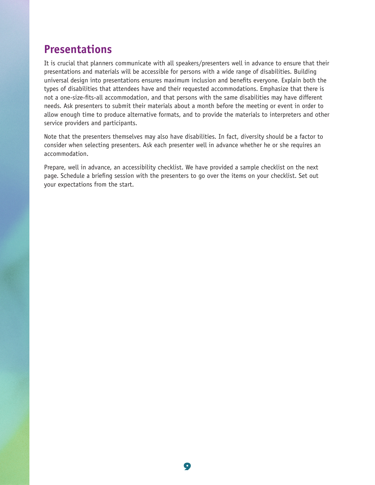# **Presentations**

It is crucial that planners communicate with all speakers/presenters well in advance to ensure that their presentations and materials will be accessible for persons with a wide range of disabilities. Building universal design into presentations ensures maximum inclusion and benefits everyone. Explain both the types of disabilities that attendees have and their requested accommodations. Emphasize that there is not a one-size-fits-all accommodation, and that persons with the same disabilities may have different needs. Ask presenters to submit their materials about a month before the meeting or event in order to allow enough time to produce alternative formats, and to provide the materials to interpreters and other service providers and participants.

Note that the presenters themselves may also have disabilities. In fact, diversity should be a factor to consider when selecting presenters. Ask each presenter well in advance whether he or she requires an accommodation.

Prepare, well in advance, an accessibility checklist. We have provided a sample checklist on the next page. Schedule a briefing session with the presenters to go over the items on your checklist. Set out your expectations from the start.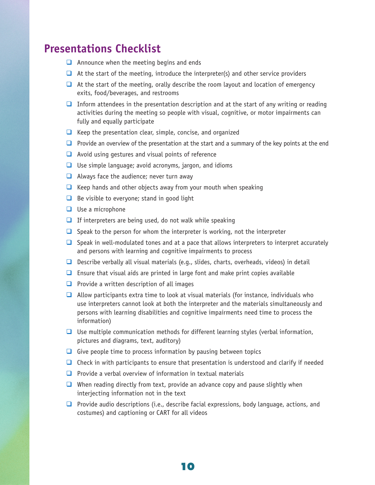### **Presentations Checklist**

- $\Box$  Announce when the meeting begins and ends
- $\Box$  At the start of the meeting, introduce the interpreter(s) and other service providers
- $\Box$  At the start of the meeting, orally describe the room layout and location of emergency exits, food/beverages, and restrooms
- $\Box$  Inform attendees in the presentation description and at the start of any writing or reading activities during the meeting so people with visual, cognitive, or motor impairments can fully and equally participate
- $\Box$  Keep the presentation clear, simple, concise, and organized
- **Provide an overview of the presentation at the start and a summary of the key points at the end**
- $\Box$  Avoid using gestures and visual points of reference
- $\Box$  Use simple language; avoid acronyms, jargon, and idioms
- $\Box$  Always face the audience; never turn away
- $\Box$  Keep hands and other objects away from your mouth when speaking
- $\Box$  Be visible to everyone; stand in good light
- $\Box$  Use a microphone
- $\Box$  If interpreters are being used, do not walk while speaking
- $\Box$  Speak to the person for whom the interpreter is working, not the interpreter
- $\Box$  Speak in well-modulated tones and at a pace that allows interpreters to interpret accurately and persons with learning and cognitive impairments to process
- $\Box$  Describe verbally all visual materials (e.g., slides, charts, overheads, videos) in detail
- $\Box$  Ensure that visual aids are printed in large font and make print copies available
- $\Box$  Provide a written description of all images
- $\Box$  Allow participants extra time to look at visual materials (for instance, individuals who use interpreters cannot look at both the interpreter and the materials simultaneously and persons with learning disabilities and cognitive impairments need time to process the information)
- $\Box$  Use multiple communication methods for different learning styles (verbal information, pictures and diagrams, text, auditory)
- Give people time to process information by pausing between topics
- $\Box$  Check in with participants to ensure that presentation is understood and clarify if needed
- $\Box$  Provide a verbal overview of information in textual materials
- $\Box$  When reading directly from text, provide an advance copy and pause slightly when interjecting information not in the text
- **P** Provide audio descriptions (i.e., describe facial expressions, body language, actions, and costumes) and captioning or CART for all videos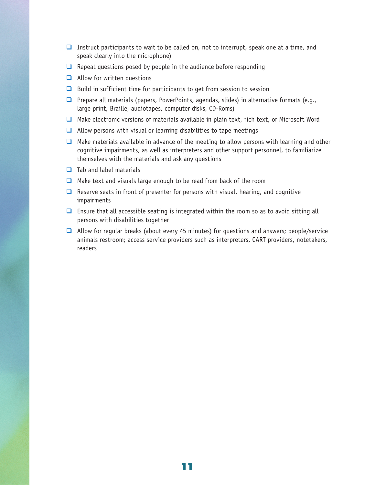- **I** Instruct participants to wait to be called on, not to interrupt, speak one at a time, and speak clearly into the microphone)
- $\Box$  Repeat questions posed by people in the audience before responding
- $\Box$  Allow for written questions
- $\Box$  Build in sufficient time for participants to get from session to session
- **P** Prepare all materials (papers, PowerPoints, agendas, slides) in alternative formats (e.g., large print, Braille, audiotapes, computer disks, CD-Roms)
- $\Box$  Make electronic versions of materials available in plain text, rich text, or Microsoft Word
- $\Box$  Allow persons with visual or learning disabilities to tape meetings
- $\Box$  Make materials available in advance of the meeting to allow persons with learning and other cognitive impairments, as well as interpreters and other support personnel, to familiarize themselves with the materials and ask any questions
- $\Box$  Tab and label materials
- $\Box$  Make text and visuals large enough to be read from back of the room
- $\Box$  Reserve seats in front of presenter for persons with visual, hearing, and cognitive impairments
- $\Box$  Ensure that all accessible seating is integrated within the room so as to avoid sitting all persons with disabilities together
- Allow for regular breaks (about every 45 minutes) for questions and answers; people/service animals restroom; access service providers such as interpreters, CART providers, notetakers, readers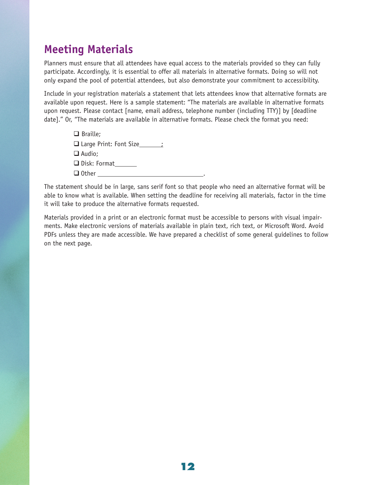# **Meeting Materials**

Planners must ensure that all attendees have equal access to the materials provided so they can fully participate. Accordingly, it is essential to offer all materials in alternative formats. Doing so will not only expand the pool of potential attendees, but also demonstrate your commitment to accessibility.

Include in your registration materials a statement that lets attendees know that alternative formats are available upon request. Here is a sample statement: "The materials are available in alternative formats upon request. Please contact [name, email address, telephone number (including TTY)] by [deadline date]." Or, "The materials are available in alternative formats. Please check the format you need:

| $\Box$ Braille;                      |
|--------------------------------------|
| $\Box$ Large Print: Font Size $\Box$ |
| $\Box$ Audio;                        |
| $\Box$ Disk: Format                  |
| $\Box$ Other                         |

The statement should be in large, sans serif font so that people who need an alternative format will be able to know what is available. When setting the deadline for receiving all materials, factor in the time it will take to produce the alternative formats requested.

Materials provided in a print or an electronic format must be accessible to persons with visual impairments. Make electronic versions of materials available in plain text, rich text, or Microsoft Word. Avoid PDFs unless they are made accessible. We have prepared a checklist of some general guidelines to follow on the next page.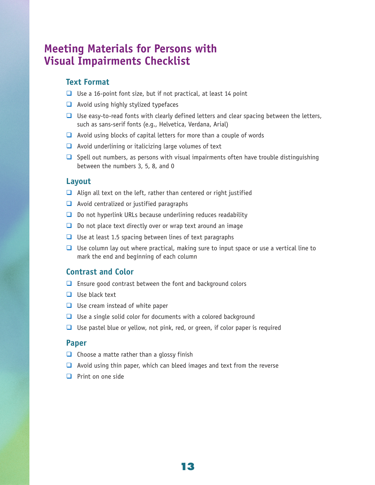### **Meeting Materials for Persons with Visual Impairments Checklist**

#### **Text Format**

- $\Box$  Use a 16-point font size, but if not practical, at least 14 point
- $\Box$  Avoid using highly stylized typefaces
- $\Box$  Use easy-to-read fonts with clearly defined letters and clear spacing between the letters, such as sans-serif fonts (e.g., Helvetica, Verdana, Arial)
- $\Box$  Avoid using blocks of capital letters for more than a couple of words
- $\Box$  Avoid underlining or italicizing large volumes of text
- $\Box$  Spell out numbers, as persons with visual impairments often have trouble distinguishing between the numbers 3, 5, 8, and 0

#### **Layout**

- $\Box$  Align all text on the left, rather than centered or right justified
- $\Box$  Avoid centralized or justified paragraphs
- $\Box$  Do not hyperlink URLs because underlining reduces readability
- $\Box$  Do not place text directly over or wrap text around an image
- $\Box$  Use at least 1.5 spacing between lines of text paragraphs
- $\Box$  Use column lay out where practical, making sure to input space or use a vertical line to mark the end and beginning of each column

#### **Contrast and Color**

- **Ensure good contrast between the font and background colors**
- $\Box$  Use black text
- $\Box$  Use cream instead of white paper
- $\Box$  Use a single solid color for documents with a colored background
- $\Box$  Use pastel blue or yellow, not pink, red, or green, if color paper is required

#### **Paper**

- $\Box$  Choose a matte rather than a glossy finish
- $\Box$  Avoid using thin paper, which can bleed images and text from the reverse
- $\Box$  Print on one side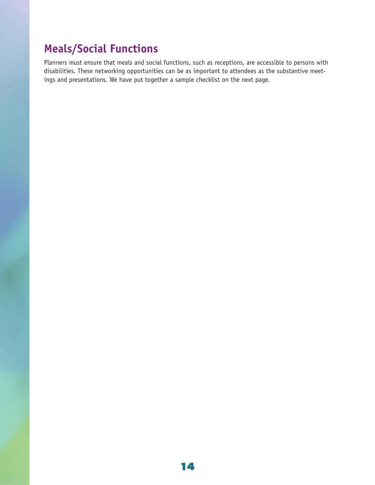# **Meals/Social Functions**

Planners must ensure that meals and social functions, such as receptions, are accessible to persons with disabilities. These networking opportunities can be as important to attendees as the substantive meetings and presentations. We have put together a sample checklist on the next page.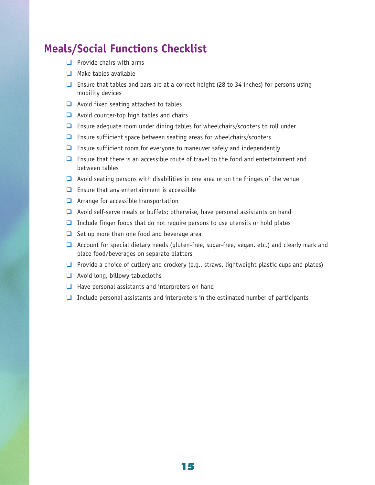### **Meals/Social Functions Checklist**

- $\Box$  Provide chairs with arms
- $\Box$  Make tables available
- **E** Ensure that tables and bars are at a correct height (28 to 34 inches) for persons using mobility devices
- $\Box$  Avoid fixed seating attached to tables
- $\Box$  Avoid counter-top high tables and chairs
- $\Box$  Ensure adequate room under dining tables for wheelchairs/scooters to roll under
- $\Box$  Ensure sufficient space between seating areas for wheelchairs/scooters
- $\Box$  Ensure sufficient room for everyone to maneuver safely and independently
- $\Box$  Ensure that there is an accessible route of travel to the food and entertainment and between tables
- $\Box$  Avoid seating persons with disabilities in one area or on the fringes of the venue
- $\Box$  Ensure that any entertainment is accessible
- $\Box$  Arrange for accessible transportation
- Avoid self-serve meals or buffets; otherwise, have personal assistants on hand
- $\Box$  Include finger foods that do not require persons to use utensils or hold plates
- $\Box$  Set up more than one food and beverage area
- $\Box$  Account for special dietary needs (qluten-free, sugar-free, vegan, etc.) and clearly mark and place food/beverages on separate platters
- **P** Provide a choice of cutlery and crockery (e.g., straws, lightweight plastic cups and plates)
- $\Box$  Avoid long, billowy tablecloths
- $\Box$  Have personal assistants and interpreters on hand
- $\Box$  Include personal assistants and interpreters in the estimated number of participants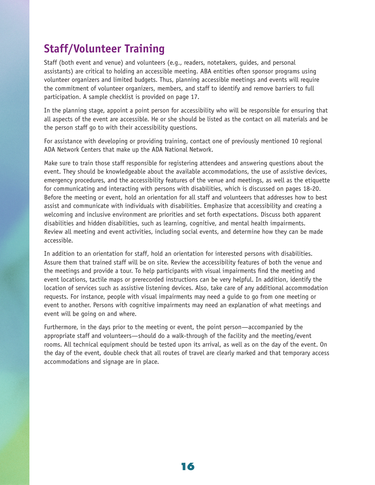# **Staff/Volunteer Training**

Staff (both event and venue) and volunteers (e.g., readers, notetakers, guides, and personal assistants) are critical to holding an accessible meeting. ABA entities often sponsor programs using volunteer organizers and limited budgets. Thus, planning accessible meetings and events will require the commitment of volunteer organizers, members, and staff to identify and remove barriers to full participation. A sample checklist is provided on page 17.

In the planning stage, appoint a point person for accessibility who will be responsible for ensuring that all aspects of the event are accessible. He or she should be listed as the contact on all materials and be the person staff go to with their accessibility questions.

For assistance with developing or providing training, contact one of previously mentioned 10 regional ADA Network Centers that make up the ADA National Network.

Make sure to train those staff responsible for registering attendees and answering questions about the event. They should be knowledgeable about the available accommodations, the use of assistive devices, emergency procedures, and the accessibility features of the venue and meetings, as well as the etiquette for communicating and interacting with persons with disabilities, which is discussed on pages 18-20. Before the meeting or event, hold an orientation for all staff and volunteers that addresses how to best assist and communicate with individuals with disabilities. Emphasize that accessibility and creating a welcoming and inclusive environment are priorities and set forth expectations. Discuss both apparent disabilities and hidden disabilities, such as learning, cognitive, and mental health impairments. Review all meeting and event activities, including social events, and determine how they can be made accessible.

In addition to an orientation for staff, hold an orientation for interested persons with disabilities. Assure them that trained staff will be on site. Review the accessibility features of both the venue and the meetings and provide a tour. To help participants with visual impairments find the meeting and event locations, tactile maps or prerecorded instructions can be very helpful. In addition, identify the location of services such as assistive listening devices. Also, take care of any additional accommodation requests. For instance, people with visual impairments may need a guide to go from one meeting or event to another. Persons with cognitive impairments may need an explanation of what meetings and event will be going on and where.

Furthermore, in the days prior to the meeting or event, the point person—accompanied by the appropriate staff and volunteers—should do a walk-through of the facility and the meeting/event rooms. All technical equipment should be tested upon its arrival, as well as on the day of the event. On the day of the event, double check that all routes of travel are clearly marked and that temporary access accommodations and signage are in place.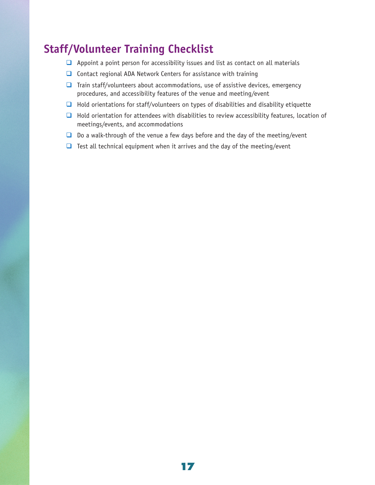## **Staff/Volunteer Training Checklist**

- $\Box$  Appoint a point person for accessibility issues and list as contact on all materials
- $\Box$  Contact regional ADA Network Centers for assistance with training
- $\Box$  Train staff/volunteers about accommodations, use of assistive devices, emergency procedures, and accessibility features of the venue and meeting/event
- $\Box$  Hold orientations for staff/volunteers on types of disabilities and disability etiquette
- $\Box$  Hold orientation for attendees with disabilities to review accessibility features, location of meetings/events, and accommodations
- $\Box$  Do a walk-through of the venue a few days before and the day of the meeting/event
- $\Box$  Test all technical equipment when it arrives and the day of the meeting/event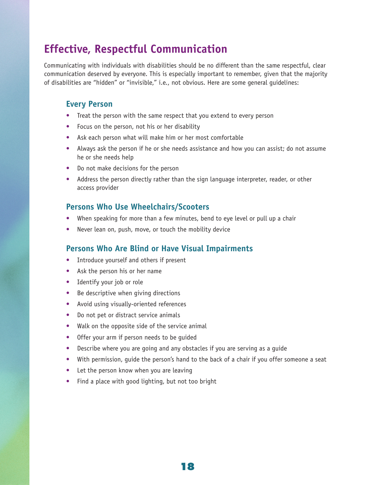# **Effective, Respectful Communication**

Communicating with individuals with disabilities should be no different than the same respectful, clear communication deserved by everyone. This is especially important to remember, given that the majority of disabilities are "hidden" or "invisible," i.e., not obvious. Here are some general guidelines:

### **Every Person**

- Treat the person with the same respect that you extend to every person
- Focus on the person, not his or her disability
- Ask each person what will make him or her most comfortable
- Always ask the person if he or she needs assistance and how you can assist; do not assume he or she needs help
- Do not make decisions for the person
- Address the person directly rather than the sign language interpreter, reader, or other access provider

#### **Persons Who Use Wheelchairs/Scooters**

- When speaking for more than a few minutes, bend to eye level or pull up a chair
- Never lean on, push, move, or touch the mobility device

#### **Persons Who Are Blind or Have Visual Impairments**

- Introduce yourself and others if present
- Ask the person his or her name
- Identify your job or role
- Be descriptive when giving directions
- Avoid using visually-oriented references
- Do not pet or distract service animals
- Walk on the opposite side of the service animal
- Offer your arm if person needs to be guided
- Describe where you are going and any obstacles if you are serving as a guide
- With permission, guide the person's hand to the back of a chair if you offer someone a seat
- Let the person know when you are leaving
- Find a place with good lighting, but not too bright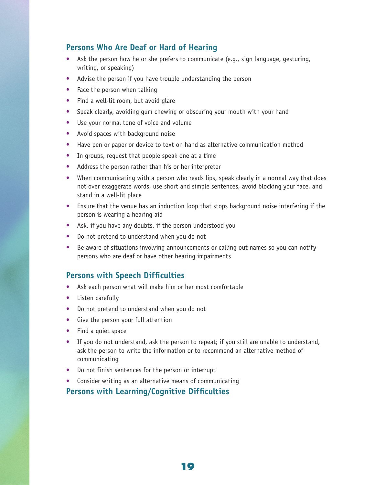### **Persons Who Are Deaf or Hard of Hearing**

- Ask the person how he or she prefers to communicate (e.g., sign language, gesturing, writing, or speaking)
- Advise the person if you have trouble understanding the person
- Face the person when talking
- Find a well-lit room, but avoid glare
- Speak clearly, avoiding gum chewing or obscuring your mouth with your hand
- Use your normal tone of voice and volume
- Avoid spaces with background noise
- Have pen or paper or device to text on hand as alternative communication method
- In groups, request that people speak one at a time
- Address the person rather than his or her interpreter
- When communicating with a person who reads lips, speak clearly in a normal way that does not over exaggerate words, use short and simple sentences, avoid blocking your face, and stand in a well-lit place
- Ensure that the venue has an induction loop that stops background noise interfering if the person is wearing a hearing aid
- Ask, if you have any doubts, if the person understood you
- Do not pretend to understand when you do not
- Be aware of situations involving announcements or calling out names so you can notify persons who are deaf or have other hearing impairments

### **Persons with Speech Difficulties**

- Ask each person what will make him or her most comfortable
- Listen carefully
- Do not pretend to understand when you do not
- Give the person your full attention
- Find a quiet space
- If you do not understand, ask the person to repeat; if you still are unable to understand, ask the person to write the information or to recommend an alternative method of communicating
- Do not finish sentences for the person or interrupt
- Consider writing as an alternative means of communicating

#### **Persons with Learning/Cognitive Difficulties**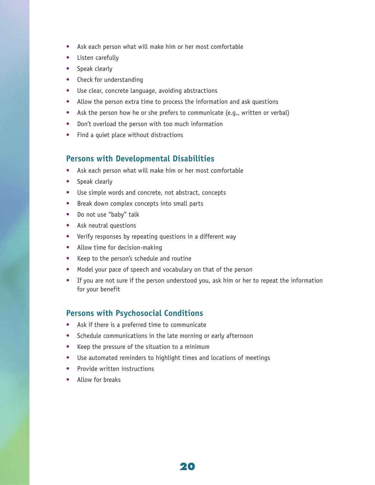- Ask each person what will make him or her most comfortable
- Listen carefully
- Speak clearly
- Check for understanding
- Use clear, concrete language, avoiding abstractions
- Allow the person extra time to process the information and ask questions
- Ask the person how he or she prefers to communicate (e.g., written or verbal)
- Don't overload the person with too much information
- Find a quiet place without distractions

### **Persons with Developmental Disabilities**

- Ask each person what will make him or her most comfortable
- Speak clearly
- Use simple words and concrete, not abstract, concepts
- Break down complex concepts into small parts
- Do not use "baby" talk
- Ask neutral questions
- Verify responses by repeating questions in a different way
- Allow time for decision-making
- Keep to the person's schedule and routine
- Model your pace of speech and vocabulary on that of the person
- If you are not sure if the person understood you, ask him or her to repeat the information for your benefit

#### **Persons with Psychosocial Conditions**

- Ask if there is a preferred time to communicate
- Schedule communications in the late morning or early afternoon
- Keep the pressure of the situation to a minimum
- Use automated reminders to highlight times and locations of meetings
- Provide written instructions
- Allow for breaks

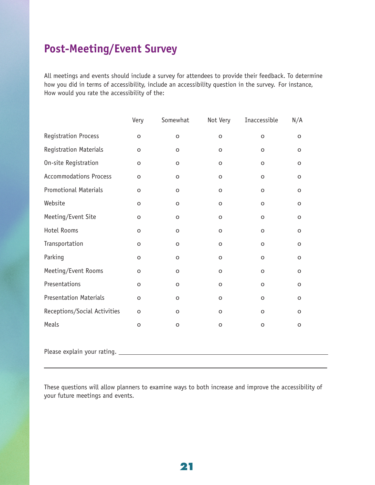# **Post-Meeting/Event Survey**

All meetings and events should include a survey for attendees to provide their feedback. To determine how you did in terms of accessibility, include an accessibility question in the survey. For instance, How would you rate the accessibility of the:

|                               | Very         | Somewhat    | Not Very     | Inaccessible | N/A         |  |
|-------------------------------|--------------|-------------|--------------|--------------|-------------|--|
| <b>Registration Process</b>   | $\mathsf{o}$ | $\circ$     | $\circ$      | $\circ$      | $\circ$     |  |
| Registration Materials        | $\mathsf O$  | $\circ$     | $\circ$      | $\circ$      | $\circ$     |  |
| On-site Registration          | $\mathsf O$  | $\circ$     | $\mathsf{o}$ | $\circ$      | $\circ$     |  |
| <b>Accommodations Process</b> | $\mathsf O$  | $\circ$     | $\circ$      | $\circ$      | $\circ$     |  |
| <b>Promotional Materials</b>  | $\mathsf O$  | $\circ$     | $\mathsf O$  | $\circ$      | $\circ$     |  |
| Website                       | $\mathsf O$  | $\circ$     | $\mathsf O$  | $\circ$      | $\circ$     |  |
| Meeting/Event Site            | $\mathsf O$  | $\circ$     | $\mathsf O$  | $\circ$      | $\circ$     |  |
| Hotel Rooms                   | $\mathsf O$  | $\circ$     | $\mathsf O$  | $\circ$      | $\circ$     |  |
| Transportation                | $\mathsf O$  | $\circ$     | $\mathsf O$  | $\circ$      | $\circ$     |  |
| Parking                       | $\mathsf O$  | $\mathsf O$ | $\mathsf O$  | $\circ$      | $\circ$     |  |
| Meeting/Event Rooms           | $\mathsf O$  | $\mathsf O$ | $\mathsf O$  | $\circ$      | $\circ$     |  |
| Presentations                 | $\mathsf O$  | $\mathsf O$ | $\mathsf{o}$ | $\circ$      | $\mathsf O$ |  |
| <b>Presentation Materials</b> | $\mathsf O$  | $\mathsf O$ | $\mathsf O$  | $\circ$      | $\circ$     |  |
| Receptions/Social Activities  | $\mathsf O$  | $\mathsf O$ | $\mathsf O$  | $\circ$      | $\circ$     |  |
| Meals                         | $\mathsf O$  | $\mathsf O$ | $\mathsf O$  | $\circ$      | $\circ$     |  |
|                               |              |             |              |              |             |  |

These questions will allow planners to examine ways to both increase and improve the accessibility of your future meetings and events.